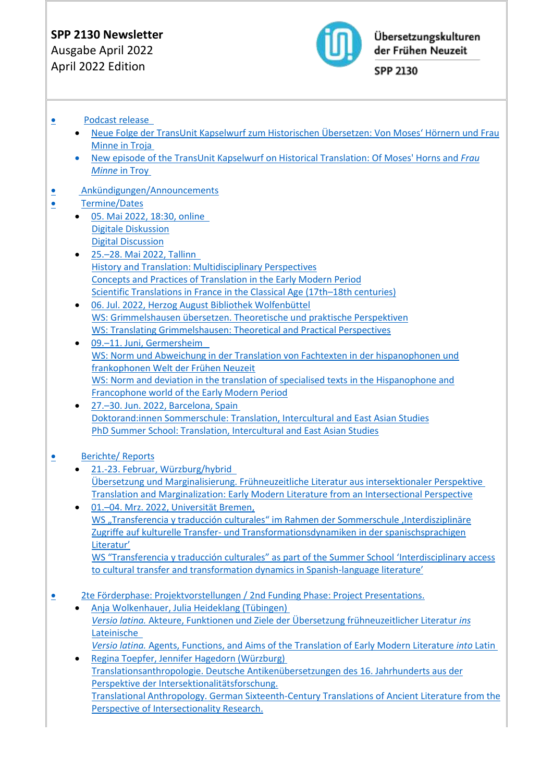# **SPP 2130 Newsletter**

Ausgabe April 2022 April 2022 Edition



Übersetzungskulturen der Frühen Neuzeit

SPP 2130

# • [Podcast release](#page-1-0)

- [Neue Folge der TransUnit Kapselwurf zum Historischen Übersetzen: Von Moses' Hörnern und Frau](#page-1-1)  [Minne in Troja](#page-1-1)
- [New episode of the TransUnit Kapselwurf on Historical Translation: Of Moses' Horns and](#page-2-0) *Frau Minne* [in Troy](#page-2-0)
- • [Ankündigungen/Announcements](#page-2-1)
- • [Termine/Dates](#page-2-2)
	- [05. Mai 2022, 18:30, online](#page-2-3)  [Digitale Diskussion](#page-2-4) [Digital Discussion](#page-2-5)
	- 25.–[28. Mai 2022, Tallinn](#page-2-6)  [History and Translation: Multidisciplinary Perspectives](#page-2-7) [Concepts and Practices of Translation in the Early Modern Period](#page-3-0) [Scientific Translations in France in the Classical Age \(17th](#page-3-1)–18th centuries)
	- [06. Jul. 2022, Herzog August Bibliothek Wolfenbüttel](#page-3-2)  [WS: Grimmelshausen übersetzen. Theoretische und praktische Perspektiven](#page-3-3) [WS: Translating Grimmelshausen: Theoretical and Practical Perspectives](#page-4-0)
	- 09.–[11. Juni, Germersheim](#page-4-1)  [WS: Norm und Abweichung in der Translation von Fachtexten in der hispanophonen und](#page-4-2)  [frankophonen Welt der Frühen Neuzeit](#page-4-2) [WS: Norm and deviation in the translation of specialised texts](#page-4-3) in the Hispanophone and [Francophone world of the Early Modern Period](#page-4-3)
	- 27.–[30. Jun. 2022, Barcelona, Spain](#page-5-0) [Doktorand:innen Sommerschule: Translation, Intercultural and East Asian Studies](#page-5-1) [PhD Summer School: Translation, Intercultural and East Asian Studies](#page-5-2)

# • [Berichte/ Reports](#page-5-3)

- [21.-23. Februar, Würzburg/hybrid](#page-5-4)  [Übersetzung und Marginalisierung. Frühneuzeitliche Literatur aus intersektionaler Perspektive](#page-5-5) [Translation and Marginalization: Early Modern Literature from an Intersectional Perspective](#page-6-0)
- 01.–[04. Mrz. 2022, Universität Bremen,](#page-6-1)  WS "[Transferencia y traducción culturales](#page-6-2)" im Rahmen der Sommerschule ,Interdisziplinäre Zugriffe auf kulturelle Transfer- [und Transformationsdynamiken in der spanischsprachigen](#page-6-2)  [Literatur'](#page-6-2)  [WS "Transferencia y traducción culturales" as part of the Summer School 'Interdisciplinary access](#page-7-0)

[to cultural transfer and transformation dynamics in Spanish-](#page-7-0)language literature'

- • [2te Förderphase: Projektvorstellungen / 2nd Funding Phase: Project Presentations.](#page-7-1) 
	- [Anja Wolkenhauer, Julia Heideklang \(Tübingen\)](#page-7-2) *Versio latina.* [Akteure, Funktionen und Ziele der Übersetzung frühneuzeitlicher Literatur](#page-7-3) *ins* [Lateinische](#page-7-3)  *Versio latina.* [Agents, Functions, and Aims of the Translation of Early Modern Literature](#page-8-0) *into* Latin
	- [Regina Toepfer, Jennifer Hagedorn \(Würzburg\)](#page-8-1) [Translationsanthropologie. Deutsche Antikenübersetzungen des 16. Jahrhunderts aus der](#page-8-2)  [Perspektive der Intersektionalitätsforschung.](#page-8-2)  [Translational Anthropology. German Sixteenth-Century Translations of Ancient Literature from the](#page-8-3) [Perspective of Intersectionality Research.](#page-8-3)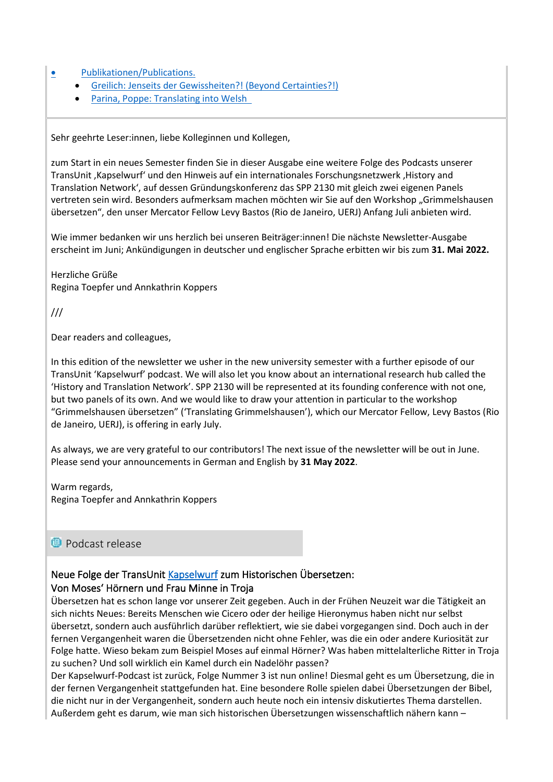• [Publikationen/Publications.](#page-9-0) 

- [Greilich: Jenseits der Gewissheiten?! \(Beyond Certainties?!\)](#page-9-1)
- Parina, Poppe: Translating into Welsh

Sehr geehrte Leser:innen, liebe Kolleginnen und Kollegen,

zum Start in ein neues Semester finden Sie in dieser Ausgabe eine weitere Folge des Podcasts unserer TransUnit 'Kapselwurf' und den Hinweis auf ein internationales Forschungsnetzwerk 'History and Translation Network', auf dessen Gründungskonferenz das SPP 2130 mit gleich zwei eigenen Panels vertreten sein wird. Besonders aufmerksam machen möchten wir Sie auf den Workshop "Grimmelshausen übersetzen", den unser Mercator Fellow Levy Bastos (Rio de Janeiro, UERJ) Anfang Juli anbieten wird.

Wie immer bedanken wir uns herzlich bei unseren Beiträger:innen! Die nächste Newsletter-Ausgabe erscheint im Juni; Ankündigungen in deutscher und englischer Sprache erbitten wir bis zum **31. Mai 2022.**

Herzliche Grüße Regina Toepfer und Annkathrin Koppers

///

Dear readers and colleagues,

In this edition of the newsletter we usher in the new university semester with a further episode of our TransUnit 'Kapselwurf' podcast. We will also let you know about an international research hub called the 'History and Translation Network'. SPP 2130 will be represented at its founding conference with not one, but two panels of its own. And we would like to draw your attention in particular to the workshop "Grimmelshausen übersetzen" ('Translating Grimmelshausen'), which our Mercator Fellow, Levy Bastos (Rio de Janeiro, UERJ), is offering in early July.

As always, we are very grateful to our contributors! The next issue of the newsletter will be out in June. Please send your announcements in German and English by **31 May 2022**.

Warm regards, Regina Toepfer and Annkathrin Koppers

# <span id="page-1-0"></span>**<sup>1</sup>** Podcast release

### <span id="page-1-1"></span>Neue Folge der TransUnit [Kapselwurf](https://www.spp2130.de/index.php/kapselwurf/) zum Historischen Übersetzen: Von Moses' Hörnern und Frau Minne in Troja

Übersetzen hat es schon lange vor unserer Zeit gegeben. Auch in der Frühen Neuzeit war die Tätigkeit an sich nichts Neues: Bereits Menschen wie Cicero oder der heilige Hieronymus haben nicht nur selbst übersetzt, sondern auch ausführlich darüber reflektiert, wie sie dabei vorgegangen sind. Doch auch in der fernen Vergangenheit waren die Übersetzenden nicht ohne Fehler, was die ein oder andere Kuriosität zur Folge hatte. Wieso bekam zum Beispiel Moses auf einmal Hörner? Was haben mittelalterliche Ritter in Troja zu suchen? Und soll wirklich ein Kamel durch ein Nadelöhr passen?

Der Kapselwurf-Podcast ist zurück, Folge Nummer 3 ist nun online! Diesmal geht es um Übersetzung, die in der fernen Vergangenheit stattgefunden hat. Eine besondere Rolle spielen dabei Übersetzungen der Bibel, die nicht nur in der Vergangenheit, sondern auch heute noch ein intensiv diskutiertes Thema darstellen. Außerdem geht es darum, wie man sich historischen Übersetzungen wissenschaftlich nähern kann –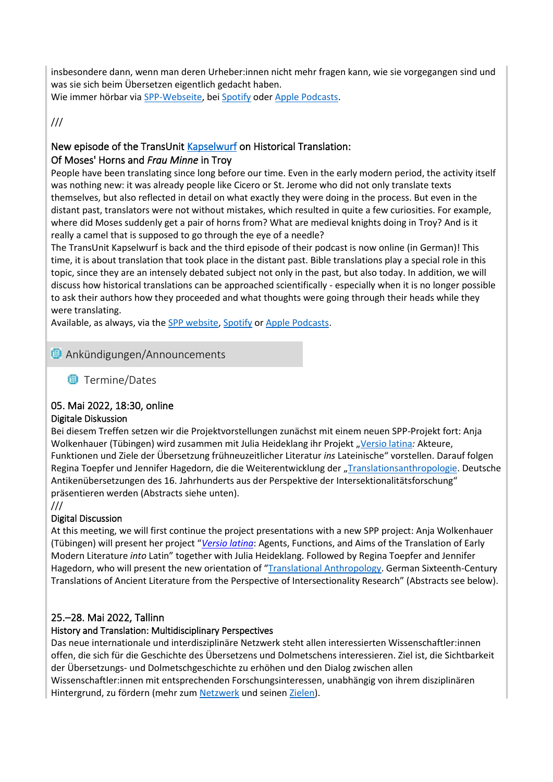insbesondere dann, wenn man deren Urheber:innen nicht mehr fragen kann, wie sie vorgegangen sind und was sie sich beim Übersetzen eigentlich gedacht haben.

Wie immer hörbar via [SPP-Webseite,](https://www.spp2130.de/index.php/kapselwurf/) bei [Spotify](https://open.spotify.com/show/4JzS22Q5CPjUgcfk8ufyFV) oder [Apple Podcasts.](https://podcasts.apple.com/de/podcast/kapselwurf-podcast/id1542206456)

///

# <span id="page-2-0"></span>New episode of the TransUnit [Kapselwurf](https://www.spp2130.de/index.php/en/kapselwurf-2/) on Historical Translation:

# Of Moses' Horns and *Frau Minne* in Troy

People have been translating since long before our time. Even in the early modern period, the activity itself was nothing new: it was already people like Cicero or St. Jerome who did not only translate texts themselves, but also reflected in detail on what exactly they were doing in the process. But even in the distant past, translators were not without mistakes, which resulted in quite a few curiosities. For example, where did Moses suddenly get a pair of horns from? What are medieval knights doing in Troy? And is it really a camel that is supposed to go through the eye of a needle?

The TransUnit Kapselwurf is back and the third episode of their podcast is now online (in German)! This time, it is about translation that took place in the distant past. Bible translations play a special role in this topic, since they are an intensely debated subject not only in the past, but also today. In addition, we will discuss how historical translations can be approached scientifically - especially when it is no longer possible to ask their authors how they proceeded and what thoughts were going through their heads while they were translating.

Available, as always, via the [SPP website,](https://www.spp2130.de/index.php/en/kapselwurf-2/) [Spotify](https://open.spotify.com/show/4JzS22Q5CPjUgcfk8ufyFV) or [Apple Podcasts.](https://podcasts.apple.com/de/podcast/kapselwurf-podcast/id1542206456)

# <span id="page-2-2"></span><span id="page-2-1"></span>**<sup>1</sup>** Ankündigungen/Announcements

**<sup>1</sup>**Termine/Dates

# <span id="page-2-3"></span>05. Mai 2022, 18:30, online

### <span id="page-2-4"></span>Digitale Diskussion

Bei diesem Treffen setzen wir die Projektvorstellungen zunächst mit einem neuen SPP-Projekt fort: Anja Wolkenhauer (Tübingen) wird zusammen mit Julia Heideklang ihr Projekt "[Versio latina](https://www.spp2130.de/index.php/versio-latina-2/): Akteure, Funktionen und Ziele der Übersetzung frühneuzeitlicher Literatur *ins* Lateinische" vorstellen. Darauf folgen Regina Toepfer und Jennifer Hagedorn, die die Weiterentwicklung der "[Translationsanthropologie.](https://www.spp2130.de/index.php/translationsanthropologieii/) Deutsche Antikenübersetzungen des 16. Jahrhunderts aus der Perspektive der Intersektionalitätsforschung" präsentieren werden (Abstracts siehe unten).

///

# <span id="page-2-5"></span>Digital Discussion

At this meeting, we will first continue the project presentations with a new SPP project: Anja Wolkenhauer (Tübingen) will present her project "*[Versio latina](https://www.spp2130.de/index.php/en/versio-latina/)*: Agents, Functions, and Aims of the Translation of Early Modern Literature *into* Latin" together with Julia Heideklang. Followed by Regina Toepfer and Jennifer Hagedorn, who will present the new orientation of "[Translational Anthropology.](https://www.spp2130.de/index.php/en/translational-anthropologyii/) German Sixteenth-Century Translations of Ancient Literature from the Perspective of Intersectionality Research" (Abstracts see below).

# <span id="page-2-6"></span>25.–28. Mai 2022, Tallinn

# <span id="page-2-7"></span>History and Translation: Multidisciplinary Perspectives

Das neue internationale und interdisziplinäre Netzwerk steht allen interessierten Wissenschaftler:innen offen, die sich für die Geschichte des Übersetzens und Dolmetschens interessieren. Ziel ist, die Sichtbarkeit der Übersetzungs- und Dolmetschgeschichte zu erhöhen und den Dialog zwischen allen Wissenschaftler:innen mit entsprechenden Forschungsinteressen, unabhängig von ihrem disziplinären Hintergrund, zu fördern (mehr zum [Netzwerk](https://historyandtranslation.net/) und seine[n Zielen\)](https://historyandtranslation.net/aims-and-objectives/).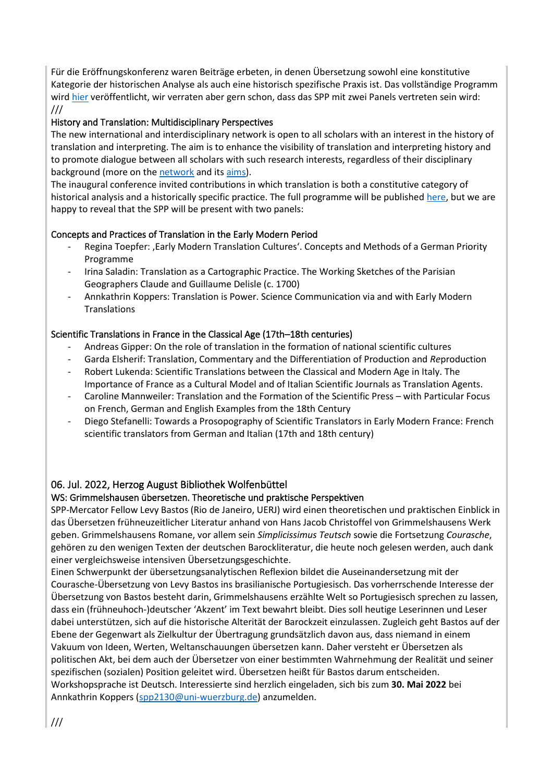Für die Eröffnungskonferenz waren Beiträge erbeten, in denen Übersetzung sowohl eine konstitutive Kategorie der historischen Analyse als auch eine historisch spezifische Praxis ist. Das vollständige Programm wir[d hier](https://konverentsikeskus.tlu.ee/en/htn-conference-2022/programme) veröffentlicht, wir verraten aber gern schon, dass das SPP mit zwei Panels vertreten sein wird: ///

### History and Translation: Multidisciplinary Perspectives

The new international and interdisciplinary network is open to all scholars with an interest in the history of translation and interpreting. The aim is to enhance the visibility of translation and interpreting history and to promote dialogue between all scholars with such research interests, regardless of their disciplinary background (more on th[e network](https://historyandtranslation.net/) and its [aims\)](https://historyandtranslation.net/aims-and-objectives/).

The inaugural conference invited contributions in which translation is both a constitutive category of historical analysis and a historically specific practice. The full programme will be published [here,](file:///D:/Download/The%20full%20programme%20will%20be%20published%20here,%20but%20we%20are%20happy%20to%20reveal%20that%20the%20SPP%20will%20be%20present%20with%20two%20panels) but we are happy to reveal that the SPP will be present with two panels:

### <span id="page-3-0"></span>Concepts and Practices of Translation in the Early Modern Period

- Regina Toepfer: , Early Modern Translation Cultures'. Concepts and Methods of a German Priority Programme
- Irina Saladin: Translation as a Cartographic Practice. The Working Sketches of the Parisian Geographers Claude and Guillaume Delisle (c. 1700)
- Annkathrin Koppers: Translation is Power. Science Communication via and with Early Modern **Translations**

### <span id="page-3-1"></span>Scientific Translations in France in the Classical Age (17th–18th centuries)

- Andreas Gipper: On the role of translation in the formation of national scientific cultures
- Garda Elsherif: Translation, Commentary and the Differentiation of Production and *Re*production
- Robert Lukenda: Scientific Translations between the Classical and Modern Age in Italy. The Importance of France as a Cultural Model and of Italian Scientific Journals as Translation Agents.
- Caroline Mannweiler: Translation and the Formation of the Scientific Press with Particular Focus on French, German and English Examples from the 18th Century
- Diego Stefanelli: Towards a Prosopography of Scientific Translators in Early Modern France: French scientific translators from German and Italian (17th and 18th century)

# <span id="page-3-2"></span>06. Jul. 2022, Herzog August Bibliothek Wolfenbüttel

### <span id="page-3-3"></span>WS: Grimmelshausen übersetzen. Theoretische und praktische Perspektiven

SPP-Mercator Fellow Levy Bastos (Rio de Janeiro, UERJ) wird einen theoretischen und praktischen Einblick in das Übersetzen frühneuzeitlicher Literatur anhand von Hans Jacob Christoffel von Grimmelshausens Werk geben. Grimmelshausens Romane, vor allem sein *Simplicissimus Teutsch* sowie die Fortsetzung *Courasche*, gehören zu den wenigen Texten der deutschen Barockliteratur, die heute noch gelesen werden, auch dank einer vergleichsweise intensiven Übersetzungsgeschichte.

Einen Schwerpunkt der übersetzungsanalytischen Reflexion bildet die Auseinandersetzung mit der Courasche-Übersetzung von Levy Bastos ins brasilianische Portugiesisch. Das vorherrschende Interesse der Übersetzung von Bastos besteht darin, Grimmelshausens erzählte Welt so Portugiesisch sprechen zu lassen, dass ein (frühneuhoch-)deutscher 'Akzent' im Text bewahrt bleibt. Dies soll heutige Leserinnen und Leser dabei unterstützen, sich auf die historische Alterität der Barockzeit einzulassen. Zugleich geht Bastos auf der Ebene der Gegenwart als Zielkultur der Übertragung grundsätzlich davon aus, dass niemand in einem Vakuum von Ideen, Werten, Weltanschauungen übersetzen kann. Daher versteht er Übersetzen als politischen Akt, bei dem auch der Übersetzer von einer bestimmten Wahrnehmung der Realität und seiner spezifischen (sozialen) Position geleitet wird. Übersetzen heißt für Bastos darum entscheiden. Workshopsprache ist Deutsch. Interessierte sind herzlich eingeladen, sich bis zum **30. Mai 2022** bei Annkathrin Koppers [\(spp2130@uni-wuerzburg.de\)](mailto:spp2130@uni-wuerzburg.de) anzumelden.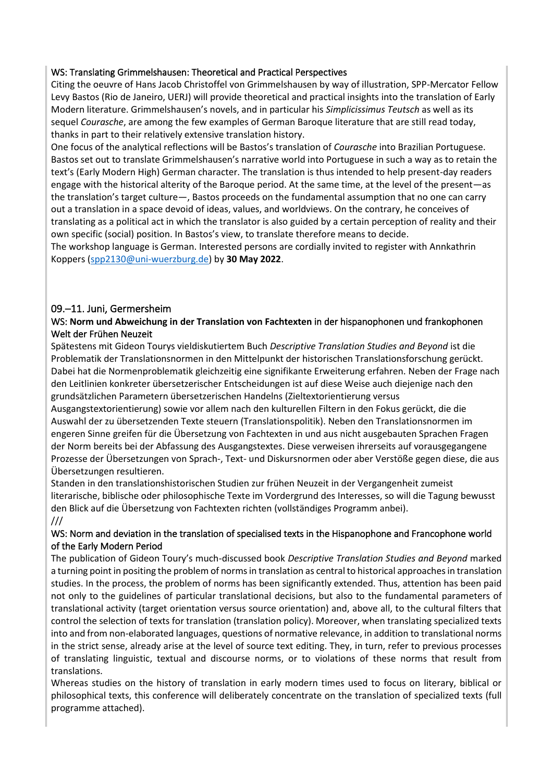### <span id="page-4-0"></span>WS: Translating Grimmelshausen: Theoretical and Practical Perspectives

Citing the oeuvre of Hans Jacob Christoffel von Grimmelshausen by way of illustration, SPP-Mercator Fellow Levy Bastos (Rio de Janeiro, UERJ) will provide theoretical and practical insights into the translation of Early Modern literature. Grimmelshausen's novels, and in particular his *Simplicissimus Teutsch* as well as its sequel *Courasche*, are among the few examples of German Baroque literature that are still read today, thanks in part to their relatively extensive translation history.

One focus of the analytical reflections will be Bastos's translation of *Courasche* into Brazilian Portuguese. Bastos set out to translate Grimmelshausen's narrative world into Portuguese in such a way as to retain the text's (Early Modern High) German character. The translation is thus intended to help present-day readers engage with the historical alterity of the Baroque period. At the same time, at the level of the present—as the translation's target culture—, Bastos proceeds on the fundamental assumption that no one can carry out a translation in a space devoid of ideas, values, and worldviews. On the contrary, he conceives of translating as a political act in which the translator is also guided by a certain perception of reality and their own specific (social) position. In Bastos's view, to translate therefore means to decide.

The workshop language is German. Interested persons are cordially invited to register with Annkathrin Koppers [\(spp2130@uni-wuerzburg.de\)](mailto:spp2130@uni-wuerzburg.de) by **30 May 2022**.

# <span id="page-4-1"></span>09.–11. Juni, Germersheim

### <span id="page-4-2"></span>WS: **Norm und Abweichung in der Translation von Fachtexten** in der hispanophonen und frankophonen Welt der Frühen Neuzeit

Spätestens mit Gideon Tourys vieldiskutiertem Buch *Descriptive Translation Studies and Beyond* ist die Problematik der Translationsnormen in den Mittelpunkt der historischen Translationsforschung gerückt. Dabei hat die Normenproblematik gleichzeitig eine signifikante Erweiterung erfahren. Neben der Frage nach den Leitlinien konkreter übersetzerischer Entscheidungen ist auf diese Weise auch diejenige nach den grundsätzlichen Parametern übersetzerischen Handelns (Zieltextorientierung versus

Ausgangstextorientierung) sowie vor allem nach den kulturellen Filtern in den Fokus gerückt, die die Auswahl der zu übersetzenden Texte steuern (Translationspolitik). Neben den Translationsnormen im engeren Sinne greifen für die Übersetzung von Fachtexten in und aus nicht ausgebauten Sprachen Fragen der Norm bereits bei der Abfassung des Ausgangstextes. Diese verweisen ihrerseits auf vorausgegangene Prozesse der Übersetzungen von Sprach-, Text- und Diskursnormen oder aber Verstöße gegen diese, die aus Übersetzungen resultieren.

Standen in den translationshistorischen Studien zur frühen Neuzeit in der Vergangenheit zumeist literarische, biblische oder philosophische Texte im Vordergrund des Interesses, so will die Tagung bewusst den Blick auf die Übersetzung von Fachtexten richten (vollständiges Programm anbei). ///

### <span id="page-4-3"></span>WS: Norm and deviation in the translation of specialised texts in the Hispanophone and Francophone world of the Early Modern Period

The publication of Gideon Toury's much-discussed book *Descriptive Translation Studies and Beyond* marked a turning point in positing the problem of norms in translation as central to historical approaches in translation studies. In the process, the problem of norms has been significantly extended. Thus, attention has been paid not only to the guidelines of particular translational decisions, but also to the fundamental parameters of translational activity (target orientation versus source orientation) and, above all, to the cultural filters that control the selection of texts for translation (translation policy). Moreover, when translating specialized texts into and from non-elaborated languages, questions of normative relevance, in addition to translational norms in the strict sense, already arise at the level of source text editing. They, in turn, refer to previous processes of translating linguistic, textual and discourse norms, or to violations of these norms that result from translations.

Whereas studies on the history of translation in early modern times used to focus on literary, biblical or philosophical texts, this conference will deliberately concentrate on the translation of specialized texts (full programme attached).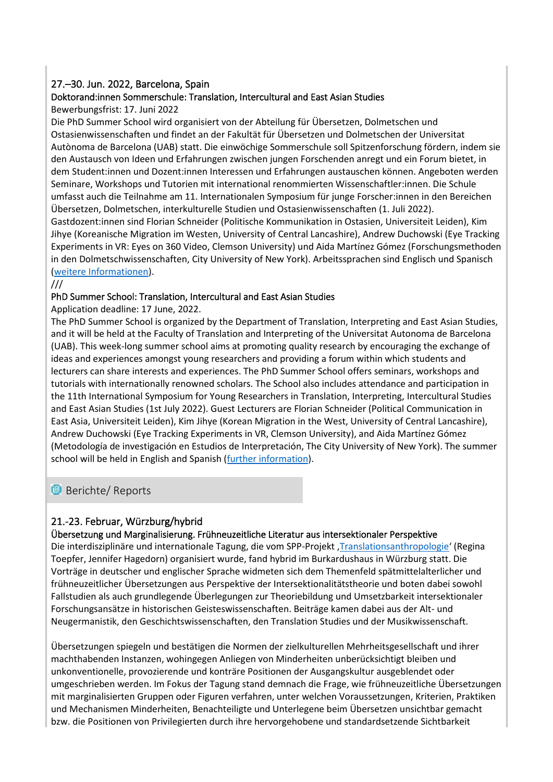# <span id="page-5-0"></span>27.–30. Jun. 2022, Barcelona, Spain

# <span id="page-5-1"></span>Doktorand:innen Sommerschule: Translation, Intercultural and East Asian Studies

### Bewerbungsfrist: 17. Juni 2022

Die PhD Summer School wird organisiert von der Abteilung für Übersetzen, Dolmetschen und Ostasienwissenschaften und findet an der Fakultät für Übersetzen und Dolmetschen der Universitat Autònoma de Barcelona (UAB) statt. Die einwöchige Sommerschule soll Spitzenforschung fördern, indem sie den Austausch von Ideen und Erfahrungen zwischen jungen Forschenden anregt und ein Forum bietet, in dem Student:innen und Dozent:innen Interessen und Erfahrungen austauschen können. Angeboten werden Seminare, Workshops und Tutorien mit international renommierten Wissenschaftler:innen. Die Schule umfasst auch die Teilnahme am 11. Internationalen Symposium für junge Forscher:innen in den Bereichen Übersetzen, Dolmetschen, interkulturelle Studien und Ostasienwissenschaften (1. Juli 2022).

Gastdozent:innen sind Florian Schneider (Politische Kommunikation in Ostasien, Universiteit Leiden), Kim Jihye (Koreanische Migration im Westen, University of Central Lancashire), Andrew Duchowski (Eye Tracking Experiments in VR: Eyes on 360 Video, Clemson University) und Aida Martínez Gómez (Forschungsmethoden in den Dolmetschwissenschaften, City University of New York). Arbeitssprachen sind Englisch und Spanisch [\(weitere Informationen\)](https://jornades.uab.cat/escola_doctorat/en).

///

### <span id="page-5-2"></span>PhD Summer School: Translation, Intercultural and East Asian Studies

Application deadline: 17 June, 2022.

The PhD Summer School is organized by the Department of Translation, Interpreting and East Asian Studies, and it will be held at the Faculty of Translation and Interpreting of the Universitat Autonoma de Barcelona (UAB). This week-long summer school aims at promoting quality research by encouraging the exchange of ideas and experiences amongst young researchers and providing a forum within which students and lecturers can share interests and experiences. The PhD Summer School offers seminars, workshops and tutorials with internationally renowned scholars. The School also includes attendance and participation in the 11th International Symposium for Young Researchers in Translation, Interpreting, Intercultural Studies and East Asian Studies (1st July 2022). Guest Lecturers are Florian Schneider (Political Communication in East Asia, Universiteit Leiden), Kim Jihye (Korean Migration in the West, University of Central Lancashire), Andrew Duchowski (Eye Tracking Experiments in VR, Clemson University), and Aida Martínez Gómez (Metodología de investigación en Estudios de Interpretación, The City University of New York). The summer school will be held in English and Spanish [\(further information\)](https://jornades.uab.cat/escola_doctorat/en).

# <span id="page-5-3"></span>**Berichte/ Reports**

# <span id="page-5-4"></span>21.-23. Februar, Würzburg/hybrid

# <span id="page-5-5"></span>Übersetzung und Marginalisierung. Frühneuzeitliche Literatur aus intersektionaler Perspektive

Die interdisziplinäre und internationale Tagung, die vom SPP-Projekt, [Translationsanthropologie](https://www.spp2130.de/index.php/translationsanthropologieii/)' (Regina Toepfer, Jennifer Hagedorn) organisiert wurde, fand hybrid im Burkardushaus in Würzburg statt. Die Vorträge in deutscher und englischer Sprache widmeten sich dem Themenfeld spätmittelalterlicher und frühneuzeitlicher Übersetzungen aus Perspektive der Intersektionalitätstheorie und boten dabei sowohl Fallstudien als auch grundlegende Überlegungen zur Theoriebildung und Umsetzbarkeit intersektionaler Forschungsansätze in historischen Geisteswissenschaften. Beiträge kamen dabei aus der Alt- und Neugermanistik, den Geschichtswissenschaften, den Translation Studies und der Musikwissenschaft.

Übersetzungen spiegeln und bestätigen die Normen der zielkulturellen Mehrheitsgesellschaft und ihrer machthabenden Instanzen, wohingegen Anliegen von Minderheiten unberücksichtigt bleiben und unkonventionelle, provozierende und konträre Positionen der Ausgangskultur ausgeblendet oder umgeschrieben werden. Im Fokus der Tagung stand demnach die Frage, wie frühneuzeitliche Übersetzungen mit marginalisierten Gruppen oder Figuren verfahren, unter welchen Voraussetzungen, Kriterien, Praktiken und Mechanismen Minderheiten, Benachteiligte und Unterlegene beim Übersetzen unsichtbar gemacht bzw. die Positionen von Privilegierten durch ihre hervorgehobene und standardsetzende Sichtbarkeit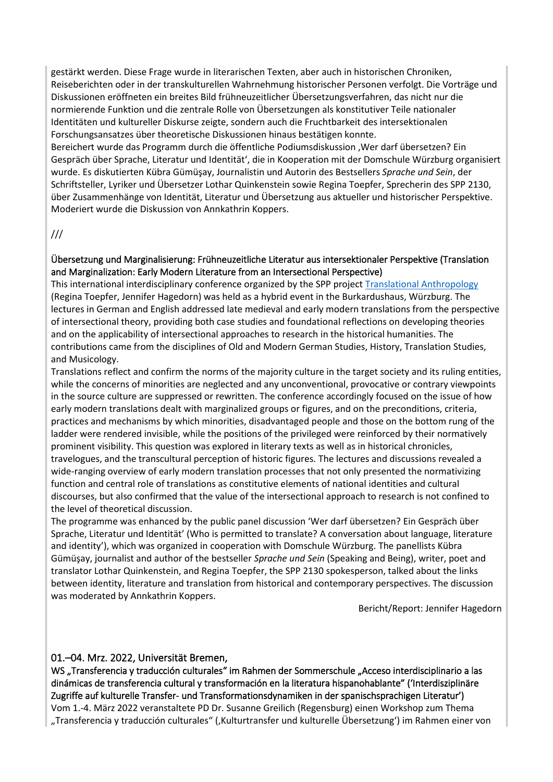gestärkt werden. Diese Frage wurde in literarischen Texten, aber auch in historischen Chroniken, Reiseberichten oder in der transkulturellen Wahrnehmung historischer Personen verfolgt. Die Vorträge und Diskussionen eröffneten ein breites Bild frühneuzeitlicher Übersetzungsverfahren, das nicht nur die normierende Funktion und die zentrale Rolle von Übersetzungen als konstitutiver Teile nationaler Identitäten und kultureller Diskurse zeigte, sondern auch die Fruchtbarkeit des intersektionalen Forschungsansatzes über theoretische Diskussionen hinaus bestätigen konnte.

Bereichert wurde das Programm durch die öffentliche Podiumsdiskussion , Wer darf übersetzen? Ein Gespräch über Sprache, Literatur und Identität', die in Kooperation mit der Domschule Würzburg organisiert wurde. Es diskutierten Kübra Gümüşay, Journalistin und Autorin des Bestsellers *Sprache und Sein*, der Schriftsteller, Lyriker und Übersetzer Lothar Quinkenstein sowie Regina Toepfer, Sprecherin des SPP 2130, über Zusammenhänge von Identität, Literatur und Übersetzung aus aktueller und historischer Perspektive. Moderiert wurde die Diskussion von Annkathrin Koppers.

#### ///

#### <span id="page-6-0"></span>Übersetzung und Marginalisierung: Frühneuzeitliche Literatur aus intersektionaler Perspektive (Translation and Marginalization: Early Modern Literature from an Intersectional Perspective)

This international interdisciplinary conference organized by the SPP project [Translational Anthropology](https://www.spp2130.de/index.php/en/translational-anthropologyii/) (Regina Toepfer, Jennifer Hagedorn) was held as a hybrid event in the Burkardushaus, Würzburg. The lectures in German and English addressed late medieval and early modern translations from the perspective of intersectional theory, providing both case studies and foundational reflections on developing theories and on the applicability of intersectional approaches to research in the historical humanities. The contributions came from the disciplines of Old and Modern German Studies, History, Translation Studies, and Musicology.

Translations reflect and confirm the norms of the majority culture in the target society and its ruling entities, while the concerns of minorities are neglected and any unconventional, provocative or contrary viewpoints in the source culture are suppressed or rewritten. The conference accordingly focused on the issue of how early modern translations dealt with marginalized groups or figures, and on the preconditions, criteria, practices and mechanisms by which minorities, disadvantaged people and those on the bottom rung of the ladder were rendered invisible, while the positions of the privileged were reinforced by their normatively prominent visibility. This question was explored in literary texts as well as in historical chronicles, travelogues, and the transcultural perception of historic figures. The lectures and discussions revealed a wide-ranging overview of early modern translation processes that not only presented the normativizing function and central role of translations as constitutive elements of national identities and cultural discourses, but also confirmed that the value of the intersectional approach to research is not confined to the level of theoretical discussion.

The programme was enhanced by the public panel discussion 'Wer darf übersetzen? Ein Gespräch über Sprache, Literatur und Identität' (Who is permitted to translate? A conversation about language, literature and identity'), which was organized in cooperation with Domschule Würzburg. The panellists Kübra Gümüşay, journalist and author of the bestseller *Sprache und Sein* (Speaking and Being), writer, poet and translator Lothar Quinkenstein, and Regina Toepfer, the SPP 2130 spokesperson, talked about the links between identity, literature and translation from historical and contemporary perspectives. The discussion was moderated by Annkathrin Koppers.

Bericht/Report: Jennifer Hagedorn

### <span id="page-6-1"></span>01.–04. Mrz. 2022, Universität Bremen,

<span id="page-6-2"></span>WS "Transferencia y traducción culturales" im Rahmen der Sommerschule "Acceso interdisciplinario a las dinámicas de transferencia cultural y transformación en la literatura hispanohablante" ('Interdisziplinäre Zugriffe auf kulturelle Transfer- und Transformationsdynamiken in der spanischsprachigen Literatur') Vom 1.-4. März 2022 veranstaltete PD Dr. Susanne Greilich (Regensburg) einen Workshop zum Thema "Transferencia y traducción culturales" ('Kulturtransfer und kulturelle Übersetzung') im Rahmen einer von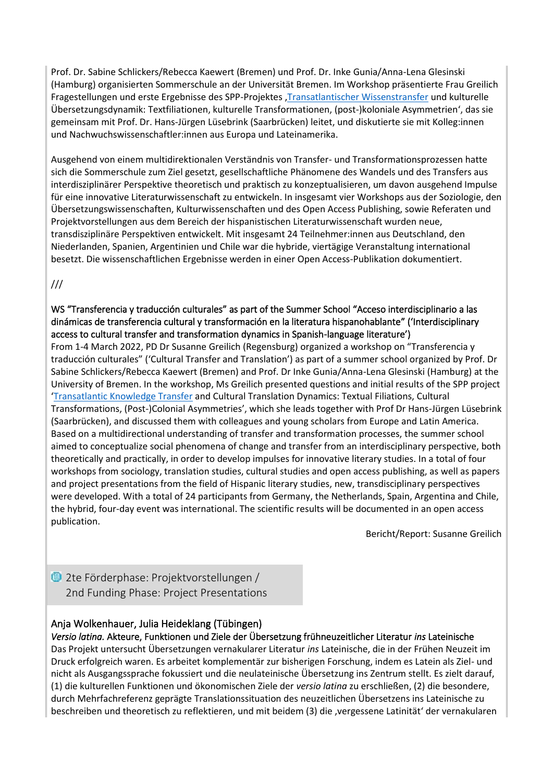Prof. Dr. Sabine Schlickers/Rebecca Kaewert (Bremen) und Prof. Dr. Inke Gunia/Anna-Lena Glesinski (Hamburg) organisierten Sommerschule an der Universität Bremen. Im Workshop präsentierte Frau Greilich Fragestellungen und erste Ergebnisse des SPP-Projektes '[Transatlantischer Wissenstransfer](https://www.spp2130.de/index.php/enzyklopaedismusii/) und kulturelle Übersetzungsdynamik: Textfiliationen, kulturelle Transformationen, (post-)koloniale Asymmetrien', das sie gemeinsam mit Prof. Dr. Hans-Jürgen Lüsebrink (Saarbrücken) leitet, und diskutierte sie mit Kolleg:innen und Nachwuchswissenschaftler:innen aus Europa und Lateinamerika.

Ausgehend von einem multidirektionalen Verständnis von Transfer- und Transformationsprozessen hatte sich die Sommerschule zum Ziel gesetzt, gesellschaftliche Phänomene des Wandels und des Transfers aus interdisziplinärer Perspektive theoretisch und praktisch zu konzeptualisieren, um davon ausgehend Impulse für eine innovative Literaturwissenschaft zu entwickeln. In insgesamt vier Workshops aus der Soziologie, den Übersetzungswissenschaften, Kulturwissenschaften und des Open Access Publishing, sowie Referaten und Projektvorstellungen aus dem Bereich der hispanistischen Literaturwissenschaft wurden neue, transdisziplinäre Perspektiven entwickelt. Mit insgesamt 24 Teilnehmer:innen aus Deutschland, den Niederlanden, Spanien, Argentinien und Chile war die hybride, viertägige Veranstaltung international besetzt. Die wissenschaftlichen Ergebnisse werden in einer Open Access-Publikation dokumentiert.

///

<span id="page-7-0"></span>WS "Transferencia y traducción culturales" as part of the Summer School "Acceso interdisciplinario a las dinámicas de transferencia cultural y transformación en la literatura hispanohablante" ('Interdisciplinary access to cultural transfer and transformation dynamics in Spanish-language literature')

From 1-4 March 2022, PD Dr Susanne Greilich (Regensburg) organized a workshop on "Transferencia y traducción culturales" ('Cultural Transfer and Translation') as part of a summer school organized by Prof. Dr Sabine Schlickers/Rebecca Kaewert (Bremen) and Prof. Dr Inke Gunia/Anna-Lena Glesinski (Hamburg) at the University of Bremen. In the workshop, Ms Greilich presented questions and initial results of the SPP project '[Transatlantic Knowledge Transfer](https://www.spp2130.de/index.php/en/encyclopaedismii/) and Cultural Translation Dynamics: Textual Filiations, Cultural Transformations, (Post-)Colonial Asymmetries', which she leads together with Prof Dr Hans-Jürgen Lüsebrink (Saarbrücken), and discussed them with colleagues and young scholars from Europe and Latin America. Based on a multidirectional understanding of transfer and transformation processes, the summer school aimed to conceptualize social phenomena of change and transfer from an interdisciplinary perspective, both theoretically and practically, in order to develop impulses for innovative literary studies. In a total of four workshops from sociology, translation studies, cultural studies and open access publishing, as well as papers and project presentations from the field of Hispanic literary studies, new, transdisciplinary perspectives were developed. With a total of 24 participants from Germany, the Netherlands, Spain, Argentina and Chile, the hybrid, four-day event was international. The scientific results will be documented in an open access publication.

Bericht/Report: Susanne Greilich

<span id="page-7-1"></span>**<sup>1</sup>2** 2te Förderphase: Projektvorstellungen / 2nd Funding Phase: Project Presentations

# <span id="page-7-2"></span>Anja Wolkenhauer, Julia Heideklang (Tübingen)

<span id="page-7-3"></span>*Versio latina.* Akteure, Funktionen und Ziele der Übersetzung frühneuzeitlicher Literatur *ins* Lateinische Das Projekt untersucht Übersetzungen vernakularer Literatur *ins* Lateinische, die in der Frühen Neuzeit im Druck erfolgreich waren. Es arbeitet komplementär zur bisherigen Forschung, indem es Latein als Ziel- und nicht als Ausgangssprache fokussiert und die neulateinische Übersetzung ins Zentrum stellt. Es zielt darauf, (1) die kulturellen Funktionen und ökonomischen Ziele der *versio latina* zu erschließen, (2) die besondere, durch Mehrfachreferenz geprägte Translationssituation des neuzeitlichen Übersetzens ins Lateinische zu beschreiben und theoretisch zu reflektieren, und mit beidem (3) die 'vergessene Latinität' der vernakularen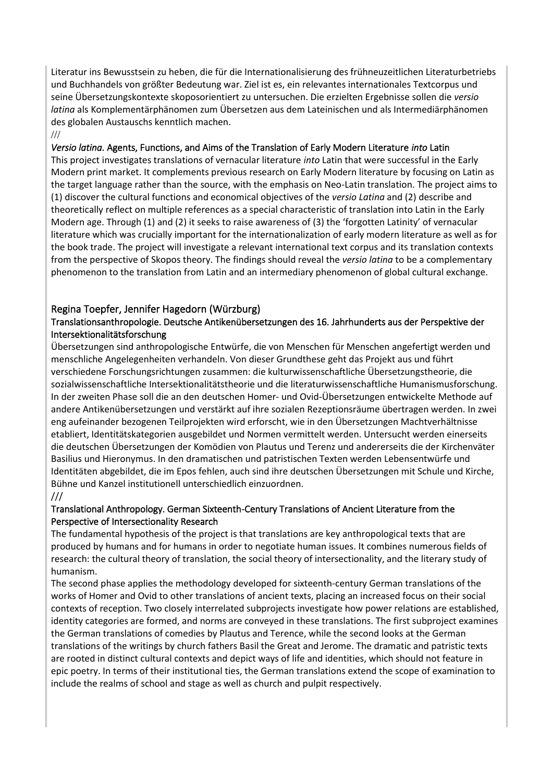Literatur ins Bewusstsein zu heben, die für die Internationalisierung des frühneuzeitlichen Literaturbetriebs und Buchhandels von größter Bedeutung war. Ziel ist es, ein relevantes internationales Textcorpus und seine Übersetzungskontexte skoposorientiert zu untersuchen. Die erzielten Ergebnisse sollen die *versio latina* als Komplementärphänomen zum Übersetzen aus dem Lateinischen und als Intermediärphänomen des globalen Austauschs kenntlich machen.

///

### <span id="page-8-0"></span>*Versio latina.* Agents, Functions, and Aims of the Translation of Early Modern Literature *into* Latin

This project investigates translations of vernacular literature *into* Latin that were successful in the Early Modern print market. It complements previous research on Early Modern literature by focusing on Latin as the target language rather than the source, with the emphasis on Neo-Latin translation. The project aims to (1) discover the cultural functions and economical objectives of the *versio Latina* and (2) describe and theoretically reflect on multiple references as a special characteristic of translation into Latin in the Early Modern age. Through (1) and (2) it seeks to raise awareness of (3) the 'forgotten Latinity' of vernacular literature which was crucially important for the internationalization of early modern literature as well as for the book trade. The project will investigate a relevant international text corpus and its translation contexts from the perspective of Skopos theory. The findings should reveal the *versio latina* to be a complementary phenomenon to the translation from Latin and an intermediary phenomenon of global cultural exchange.

# <span id="page-8-1"></span>Regina Toepfer, Jennifer Hagedorn (Würzburg)

### <span id="page-8-2"></span>Translationsanthropologie. Deutsche Antikenübersetzungen des 16. Jahrhunderts aus der Perspektive der Intersektionalitätsforschung

Übersetzungen sind anthropologische Entwürfe, die von Menschen für Menschen angefertigt werden und menschliche Angelegenheiten verhandeln. Von dieser Grundthese geht das Projekt aus und führt verschiedene Forschungsrichtungen zusammen: die kulturwissenschaftliche Übersetzungstheorie, die sozialwissenschaftliche Intersektionalitätstheorie und die literaturwissenschaftliche Humanismusforschung. In der zweiten Phase soll die an den deutschen Homer- und Ovid-Übersetzungen entwickelte Methode auf andere Antikenübersetzungen und verstärkt auf ihre sozialen Rezeptionsräume übertragen werden. In zwei eng aufeinander bezogenen Teilprojekten wird erforscht, wie in den Übersetzungen Machtverhältnisse etabliert, Identitätskategorien ausgebildet und Normen vermittelt werden. Untersucht werden einerseits die deutschen Übersetzungen der Komödien von Plautus und Terenz und andererseits die der Kirchenväter Basilius und Hieronymus. In den dramatischen und patristischen Texten werden Lebensentwürfe und Identitäten abgebildet, die im Epos fehlen, auch sind ihre deutschen Übersetzungen mit Schule und Kirche, Bühne und Kanzel institutionell unterschiedlich einzuordnen.

#### ///

### <span id="page-8-3"></span>Translational Anthropology. German Sixteenth-Century Translations of Ancient Literature from the Perspective of Intersectionality Research

The fundamental hypothesis of the project is that translations are key anthropological texts that are produced by humans and for humans in order to negotiate human issues. It combines numerous fields of research: the cultural theory of translation, the social theory of intersectionality, and the literary study of humanism.

The second phase applies the methodology developed for sixteenth-century German translations of the works of Homer and Ovid to other translations of ancient texts, placing an increased focus on their social contexts of reception. Two closely interrelated subprojects investigate how power relations are established, identity categories are formed, and norms are conveyed in these translations. The first subproject examines the German translations of comedies by Plautus and Terence, while the second looks at the German translations of the writings by church fathers Basil the Great and Jerome. The dramatic and patristic texts are rooted in distinct cultural contexts and depict ways of life and identities, which should not feature in epic poetry. In terms of their institutional ties, the German translations extend the scope of examination to include the realms of school and stage as well as church and pulpit respectively.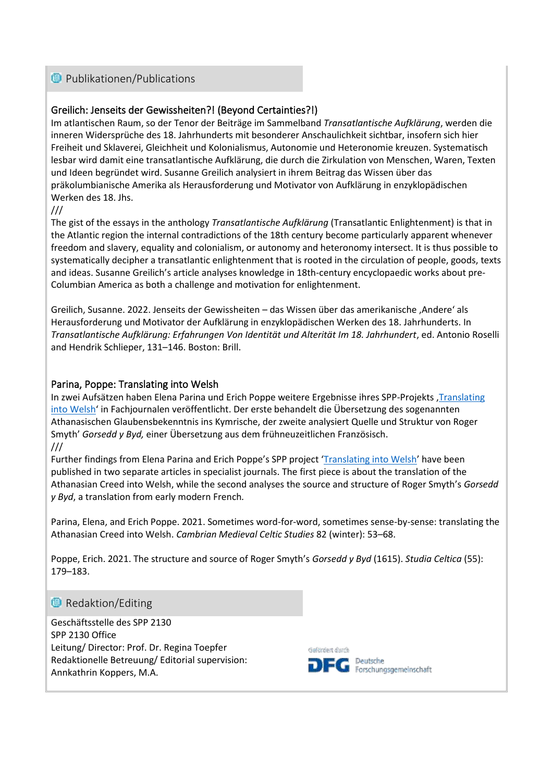# <span id="page-9-0"></span>**<sup>1</sup>** Publikationen/Publications

# <span id="page-9-1"></span>Greilich: Jenseits der Gewissheiten?! (Beyond Certainties?!)

Im atlantischen Raum, so der Tenor der Beiträge im Sammelband *Transatlantische Aufklärung*, werden die inneren Widersprüche des 18. Jahrhunderts mit besonderer Anschaulichkeit sichtbar, insofern sich hier Freiheit und Sklaverei, Gleichheit und Kolonialismus, Autonomie und Heteronomie kreuzen. Systematisch lesbar wird damit eine transatlantische Aufklärung, die durch die Zirkulation von Menschen, Waren, Texten und Ideen begründet wird. Susanne Greilich analysiert in ihrem Beitrag das Wissen über das präkolumbianische Amerika als Herausforderung und Motivator von Aufklärung in enzyklopädischen Werken des 18. Jhs.

///

The gist of the essays in the anthology *Transatlantische Aufklärung* (Transatlantic Enlightenment) is that in the Atlantic region the internal contradictions of the 18th century become particularly apparent whenever freedom and slavery, equality and colonialism, or autonomy and heteronomy intersect. It is thus possible to systematically decipher a transatlantic enlightenment that is rooted in the circulation of people, goods, texts and ideas. Susanne Greilich's article analyses knowledge in 18th-century encyclopaedic works about pre-Columbian America as both a challenge and motivation for enlightenment.

Greilich, Susanne. 2022. Jenseits der Gewissheiten – das Wissen über das amerikanische 'Andere' als Herausforderung und Motivator der Aufklärung in enzyklopädischen Werken des 18. Jahrhunderts. In *Transatlantische Aufklärung: Erfahrungen Von Identität und Alterität Im 18. Jahrhundert*, ed. Antonio Roselli and Hendrik Schlieper, 131–146. Boston: Brill.

### <span id="page-9-2"></span>Parina, Poppe: Translating into Welsh

In zwei Aufsätzen haben Elena Parina und Erich Poppe weitere Ergebnisse ihres SPP-Projekts , Translating [into Welsh](https://www.spp2130.de/index.php/uebersetzen-ins-kymrische/)' in Fachjournalen veröffentlicht. Der erste behandelt die Übersetzung des sogenannten Athanasischen Glaubensbekenntnis ins Kymrische, der zweite analysiert Quelle und Struktur von Roger Smyth' *Gorsedd y Byd,* einer Übersetzung aus dem frühneuzeitlichen Französisch. ///

Further findings from Elena Parina and Erich Poppe's SPP project '[Translating into Welsh](https://www.spp2130.de/index.php/en/translating-into-welsh/)' have been published in two separate articles in specialist journals. The first piece is about the translation of the Athanasian Creed into Welsh, while the second analyses the source and structure of Roger Smyth's *Gorsedd y Byd*, a translation from early modern French*.*

Parina, Elena, and Erich Poppe. 2021. Sometimes word-for-word, sometimes sense-by-sense: translating the Athanasian Creed into Welsh. *Cambrian Medieval Celtic Studies* 82 (winter): 53–68.

Poppe, Erich. 2021. The structure and source of Roger Smyth's *Gorsedd y Byd* (1615). *Studia Celtica* (55): 179–183.

### **Redaktion/Editing**

Geschäftsstelle des SPP 2130 SPP 2130 Office Leitung/ Director: Prof. Dr. Regina Toepfer Redaktionelle Betreuung/ Editorial supervision: Annkathrin Koppers, M.A.